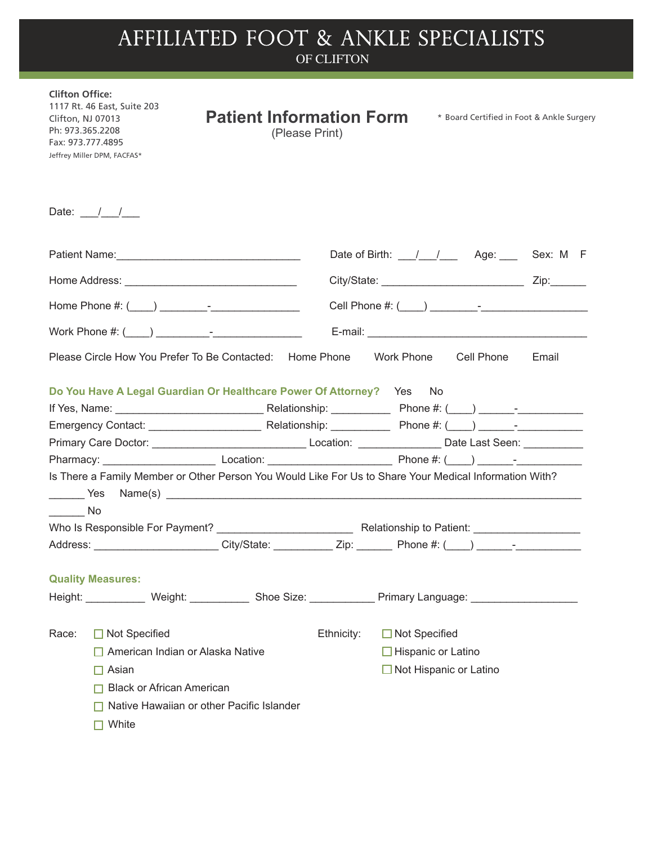## AFFILIATED FOOT & ANKLE SPECIALISTS

|                                                                                                                                                                                                                                                                           |                                 | OF CLIFTON     |            |                                                     |       |  |
|---------------------------------------------------------------------------------------------------------------------------------------------------------------------------------------------------------------------------------------------------------------------------|---------------------------------|----------------|------------|-----------------------------------------------------|-------|--|
| <b>Clifton Office:</b><br>1117 Rt. 46 East, Suite 203<br>Clifton, NJ 07013<br>Ph: 973.365.2208<br>Fax: 973.777.4895<br>Jeffrey Miller DPM, FACFAS*                                                                                                                        | <b>Patient Information Form</b> | (Please Print) |            | * Board Certified in Foot & Ankle Surgery           |       |  |
| Date: $\frac{1}{\sqrt{2}}$                                                                                                                                                                                                                                                |                                 |                |            |                                                     |       |  |
| Patient Name: Name: Name: Name: Name: Name: Name: Name: Name: Name: Name: Name: Name: Name: Name: Name: Name: N                                                                                                                                                           |                                 |                |            | Date of Birth: \[ ___ / ___ / ___ Age: ___ Sex: M F |       |  |
| Home Address: New York Changes and September 2014                                                                                                                                                                                                                         |                                 |                |            |                                                     |       |  |
| Home Phone #: $($ $)$ $)$ $)$ $)$ $)$ $)$ $\frac{1}{2}$ $\frac{1}{2}$ $\frac{1}{2}$ $\frac{1}{2}$ $\frac{1}{2}$ $\frac{1}{2}$ $\frac{1}{2}$ $\frac{1}{2}$ $\frac{1}{2}$ $\frac{1}{2}$ $\frac{1}{2}$ $\frac{1}{2}$ $\frac{1}{2}$ $\frac{1}{2}$ $\frac{1}{2}$ $\frac{1}{2}$ |                                 |                |            |                                                     |       |  |
|                                                                                                                                                                                                                                                                           |                                 |                |            |                                                     |       |  |
| Please Circle How You Prefer To Be Contacted: Home Phone                                                                                                                                                                                                                  |                                 |                | Work Phone | Cell Phone                                          | Email |  |

|                                             | Do You Have A Legal Guardian Or Healthcare Power Of Attorney?<br>Relationship: Nelationship:                                                                                                                                  | Phone #: $($ $)$ $)$ $ -$                                    |
|---------------------------------------------|-------------------------------------------------------------------------------------------------------------------------------------------------------------------------------------------------------------------------------|--------------------------------------------------------------|
| Emergency Contact: ________________________ |                                                                                                                                                                                                                               | Relationship: Phone #: () -                                  |
|                                             |                                                                                                                                                                                                                               | Location: _______________________ Date Last Seen: __________ |
| Pharmacy: New York Pharmacy:                | Location: the contract of the contract of the contract of the contract of the contract of the contract of the contract of the contract of the contract of the contract of the contract of the contract of the contract of the | Phone $\#$ : ( ) –                                           |
|                                             | Is There a Family Member or Other Person You Would Like For Us to Share Your Medical Information With?                                                                                                                        |                                                              |
| <b>Example ST</b>                           | Name(s)                                                                                                                                                                                                                       |                                                              |
| $\overline{\phantom{a}}$ No                 |                                                                                                                                                                                                                               |                                                              |

| Who Is Responsible For Payment? |             | Relationship to Patient: |   |  |
|---------------------------------|-------------|--------------------------|---|--|
| Address:                        | City/State: | Phone $#: ($             | - |  |

| Height: | Weight:                                   | Shoe Size: | Primary Language:             |
|---------|-------------------------------------------|------------|-------------------------------|
| Race:   | $\Box$ Not Specified                      | Ethnicity: | Not Specified<br>L            |
|         | $\Box$ American Indian or Alaska Native   |            | $\Box$ Hispanic or Latino     |
|         | Asian                                     |            | $\Box$ Not Hispanic or Latino |
|         | <b>Black or African American</b>          |            |                               |
|         | Native Hawaiian or other Pacific Islander |            |                               |
|         | White                                     |            |                               |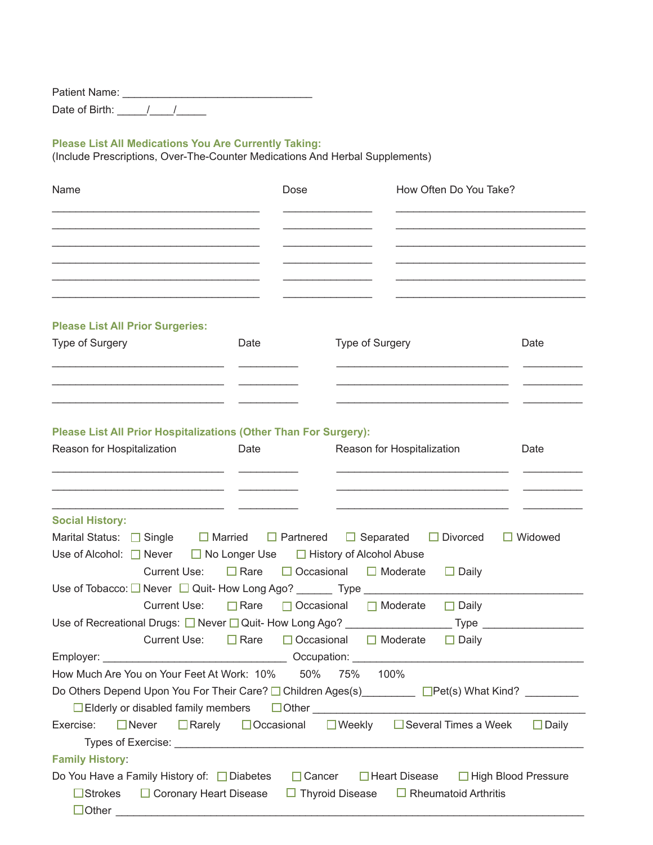Patient Name: \_\_\_\_\_\_\_\_\_\_\_\_\_\_\_\_\_\_\_\_\_\_\_\_\_\_\_\_\_\_\_\_ Date of Birth: \_\_\_\_\_\_/\_\_\_\_/\_\_\_\_\_\_

## **Please List All Medications You Are Currently Taking:**

(Include Prescriptions, Over-The-Counter Medications And Herbal Supplements)

| Name                                                                                                                                                                                                               | Dose                                                                |                                                                   | How Often Do You Take?                    |                |
|--------------------------------------------------------------------------------------------------------------------------------------------------------------------------------------------------------------------|---------------------------------------------------------------------|-------------------------------------------------------------------|-------------------------------------------|----------------|
|                                                                                                                                                                                                                    |                                                                     |                                                                   |                                           |                |
| <b>Please List All Prior Surgeries:</b><br>Type of Surgery                                                                                                                                                         | Date                                                                | Type of Surgery                                                   |                                           | Date           |
| Please List All Prior Hospitalizations (Other Than For Surgery):<br>Reason for Hospitalization                                                                                                                     | Date                                                                | Reason for Hospitalization                                        |                                           | Date           |
| <b>Social History:</b><br>Marital Status: $\Box$ Single                                                                                                                                                            | $\Box$ Married $\Box$ Partnered                                     | $\Box$ Separated $\Box$ Divorced                                  |                                           | $\Box$ Widowed |
| Use of Alcohol: $\Box$ Never<br><b>Current Use:</b><br>Use of Tobacco: □ Never □ Quit- How Long Ago? _______ Type ___________                                                                                      | $\Box$ No Longer Use $\Box$ History of Alcohol Abuse<br>$\Box$ Rare | $\Box$ Occasional $\Box$ Moderate                                 | $\Box$ Daily                              |                |
| <b>Current Use:</b><br>Use of Recreational Drugs: □ Never □ Quit- How Long Ago? ________________<br><b>Current Use:</b><br>Employer:                                                                               | $\Box$ Rare<br>$\Box$ Rare<br>$\Box$ Occasional<br>Occupation:      | $\Box$ Occasional $\Box$ Moderate<br>$\Box$ Moderate              | $\Box$ Daily<br>$Type \_$<br>$\Box$ Daily |                |
| How Much Are You on Your Feet At Work: 10%<br>Do Others Depend Upon You For Their Care? □ Children Ages(s) _________ □ Pet(s) What Kind? ________<br>$\Box$ Elderly or disabled family members $\Box$ Other $\Box$ | 50%                                                                 | 75%<br>100%                                                       |                                           |                |
| $\Box$ Never<br>$\Box$ Rarely<br>Exercise:<br><b>Family History:</b><br>Do You Have a Family History of: □ Diabetes                                                                                                | $\Box$ Occasional<br>$\Box$ Cancer                                  | $\Box$ Weekly $\Box$ Several Times a Week<br>$\Box$ Heart Disease | □ High Blood Pressure                     | $\Box$ Daily   |
| $\Box$ Strokes $\Box$ Coronary Heart Disease                                                                                                                                                                       |                                                                     | $\Box$ Thyroid Disease $\Box$ Rheumatoid Arthritis                |                                           |                |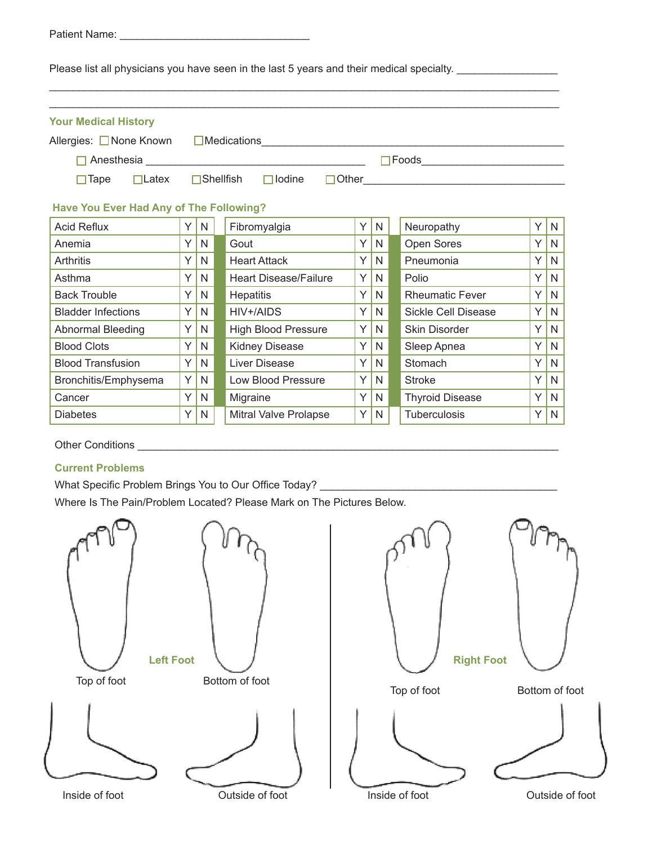| Patient Name: |  |  |  |  |  |  |  |  |
|---------------|--|--|--|--|--|--|--|--|
|               |  |  |  |  |  |  |  |  |

Please list all physicians you have seen in the last 5 years and their medical specialty. \_\_\_\_\_\_\_\_\_\_\_\_\_\_\_\_\_\_\_\_

| <b>Your Medical History</b>             |    |              |                                                                                                                |   |    |                            |    |              |
|-----------------------------------------|----|--------------|----------------------------------------------------------------------------------------------------------------|---|----|----------------------------|----|--------------|
| Allergies: □ None Known                 |    |              | Medications Manual Medications Manual Medications Manual Manual Medications Manual Manual Manual Manual Manual |   |    |                            |    |              |
|                                         |    |              |                                                                                                                |   |    |                            |    |              |
| $\Box$ Tape<br>$\Box$ Latex             |    |              | $\Box$ Shellfish<br>$\Box$ lodine                                                                              |   |    |                            |    |              |
| Have You Ever Had Any of The Following? |    |              |                                                                                                                |   |    |                            |    |              |
| <b>Acid Reflux</b>                      | Y. | N            | Fibromyalgia                                                                                                   | Y | N  | Neuropathy                 | ΥI | N            |
| Anemia                                  | Y  | N            | Gout                                                                                                           | Y | N  | Open Sores                 | Y  | N            |
| <b>Arthritis</b>                        | Y  | N            | <b>Heart Attack</b>                                                                                            | Y | N  | Pneumonia                  | Y  | N            |
| Asthma                                  | Y  | N            | <b>Heart Disease/Failure</b>                                                                                   | Y | N  | Polio                      | Y  | N            |
| <b>Back Trouble</b>                     | Y  | N            | <b>Hepatitis</b>                                                                                               | Y | N. | <b>Rheumatic Fever</b>     | Y  | N            |
| <b>Bladder Infections</b>               | Y  | N            | HIV+/AIDS                                                                                                      | Y | N  | <b>Sickle Cell Disease</b> | Y  | N            |
| <b>Abnormal Bleeding</b>                | Y  | $\mathsf{N}$ | <b>High Blood Pressure</b>                                                                                     | Y | N  | Skin Disorder              | ΥI | $\mathsf{N}$ |
| <b>Blood Clots</b>                      | Y  | N            | <b>Kidney Disease</b>                                                                                          | Y | N  | Sleep Apnea                | ΥI | N            |
| <b>Blood Transfusion</b>                | Y  | $\mathsf{N}$ | Liver Disease                                                                                                  | Y | N  | <b>Stomach</b>             | ΥI | $\mathsf{N}$ |
| Bronchitis/Emphysema                    | Y  | N            | Low Blood Pressure                                                                                             | Y | N  | <b>Stroke</b>              | Y  | N            |
| Cancer                                  | Y  | N            | Migraine                                                                                                       | Y | N  | <b>Thyroid Disease</b>     | Υl | $\mathsf{N}$ |
| <b>Diabetes</b>                         | Y  | $\mathsf{N}$ | Mitral Valve Prolapse                                                                                          | Y | N  | Tuberculosis               | Υl | $\mathsf{N}$ |

## **Current Problems**

What Specific Problem Brings You to Our Office Today? \_\_\_\_\_\_\_\_\_\_\_\_\_\_\_\_\_\_\_\_\_\_\_\_\_\_ Where Is The Pain/Problem Located? Please Mark on The Pictures Below.